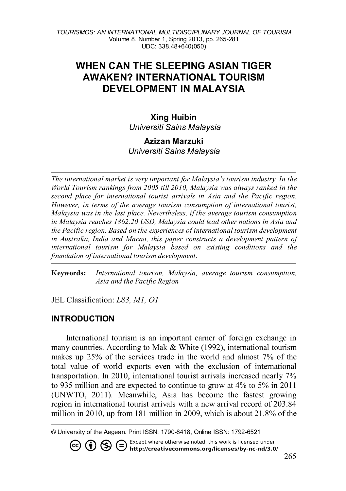*TOURISMOS: AN INTERNATIONAL MULTIDISCIPLINARY JOURNAL OF TOURISM* Volume 8, Number 1, Spring 2013, pp. 265-281 UDC: 338.48+640(050)

# **WHEN CAN THE SLEEPING ASIAN TIGER AWAKEN? INTERNATIONAL TOURISM DEVELOPMENT IN MALAYSIA**

### **Xing Huibin** *Universiti Sains Malaysia*

#### **Azizan Marzuki**  *Universiti Sains Malaysia*

*The international market is very important for Malaysia's tourism industry. In the World Tourism rankings from 2005 till 2010, Malaysia was always ranked in the second place for international tourist arrivals in Asia and the Pacific region. However, in terms of the average tourism consumption of international tourist, Malaysia was in the last place. Nevertheless, if the average tourism consumption in Malaysia reaches 1862.20 USD, Malaysia could lead other nations in Asia and the Pacific region. Based on the experiences of international tourism development in Australia, India and Macao, this paper constructs a development pattern of international tourism for Malaysia based on existing conditions and the foundation of international tourism development.*

**Keywords:** *International tourism, Malaysia, average tourism consumption, Asia and the Pacific Region* 

JEL Classification: *L83, M1, O1*

#### **INTRODUCTION**

International tourism is an important earner of foreign exchange in many countries. According to Mak & White (1992), international tourism makes up 25% of the services trade in the world and almost 7% of the total value of world exports even with the exclusion of international transportation. In 2010, international tourist arrivals increased nearly 7% to 935 million and are expected to continue to grow at 4% to 5% in 2011 (UNWTO, 2011). Meanwhile, Asia has become the fastest growing region in international tourist arrivals with a new arrival record of 203.84 million in 2010, up from 181 million in 2009, which is about 21.8% of the

Except where otherwise noted, this work is licensed under

http://creativecommons.org/licenses/by-nc-nd/3.0/

<span id="page-0-0"></span> $\overline{a}$ © University of the Aegean. Print ISSN: 1790-8418, Online ISSN: 1792-6521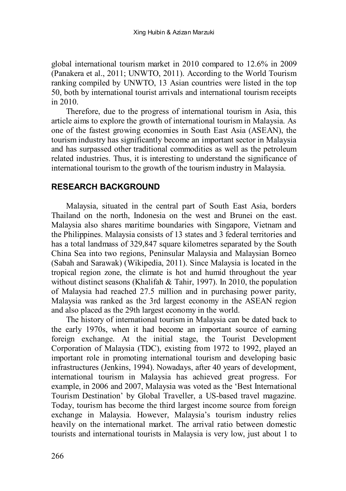global international tourism market in 2010 compared to 12.6% in 2009 (Panakera et al., 2011; UNWTO, 2011). According to the World Tourism ranking compiled by UNWTO, 13 Asian countries were listed in the top 50, both by international tourist arrivals and international tourism receipts in 2010.

Therefore, due to the progress of international tourism in Asia, this article aims to explore the growth of international tourism in Malaysia. As one of the fastest growing economies in South East Asia (ASEAN), the tourism industry has significantly become an important sector in Malaysia and has surpassed other traditional commodities as well as the petroleum related industries. Thus, it is interesting to understand the significance of international tourism to the growth of the tourism industry in Malaysia.

### **RESEARCH BACKGROUND**

Malaysia, situated in the central part of South East Asia, borders [Thailand](http://en.wikipedia.org/wiki/Thailand) on the north, Indonesia on the west and [Brunei](http://en.wikipedia.org/wiki/Brunei) on the east. Malaysia also shares maritime boundaries with [Singapore,](http://en.wikipedia.org/wiki/Singapore) [Vietnam](http://en.wikipedia.org/wiki/Vietnam) and the [Philippines.](http://en.wikipedia.org/wiki/Philippines) Malaysia consists of 13 states and 3 federal territories and has a total landmass of 329,847 square kilometres separated by the South China Sea into two regions, Peninsular Malaysia and Malaysian Borneo (Sabah and Sarawak) (Wikipedia, 2011). Since Malaysia is located in the tropical region zone, the climate is hot and humid throughout the year without distinct seasons (Khalifah & Tahir, 1997). In 2010, the population of Malaysia had reached 27.5 million and in purchasing power parity, Malaysia was ranked as the 3rd largest economy in the [ASEAN](http://en.wikipedia.org/wiki/ASEAN) region and also placed as the 29th largest economy in the world.

The history of international tourism in Malaysia can be dated back to the early 1970s, when it had become an important source of earning foreign exchange. At the initial stage, the Tourist Development Corporation of Malaysia (TDC), existing from 1972 to 1992, played an important role in promoting international tourism and developing basic infrastructures (Jenkins, 1994). Nowadays, after 40 years of development, international tourism in Malaysia has achieved great progress. For example, in 2006 and 2007, Malaysia was voted as the 'Best International Tourism Destination' by Global Traveller, a US-based travel magazine. Today, tourism has become the third largest income source from foreign exchange in Malaysia. However, Malaysia's tourism industry relies heavily on the international market. The arrival ratio between domestic tourists and international tourists in Malaysia is very low, just about 1 to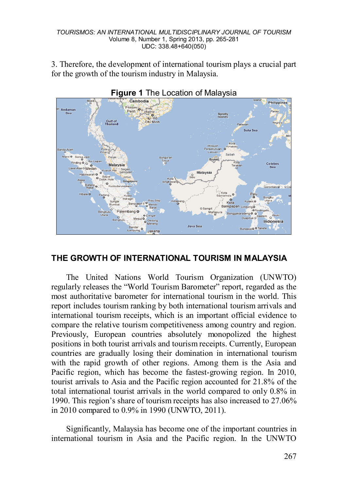3. Therefore, the development of international tourism plays a crucial part for the growth of the tourism industry in Malaysia.





## **THE GROWTH OF INTERNATIONAL TOURISM IN MALAYSIA**

The United Nations World Tourism Organization (UNWTO) regularly releases the "World Tourism Barometer" report, regarded as the most authoritative barometer for international tourism in the world. This report includes tourism ranking by both international tourism arrivals and international tourism receipts, which is an important official evidence to compare the relative tourism competitiveness among country and region. Previously, European countries absolutely monopolized the highest positions in both tourist arrivals and tourism receipts. Currently, European countries are gradually losing their domination in international tourism with the rapid growth of other regions. Among them is the Asia and Pacific region, which has become the fastest-growing region. In 2010, tourist arrivals to Asia and the Pacific region accounted for 21.8% of the total international tourist arrivals in the world compared to only 0.8% in 1990. This region's share of tourism receipts has also increased to 27.06% in 2010 compared to 0.9% in 1990 (UNWTO, 2011).

Significantly, Malaysia has become one of the important countries in international tourism in Asia and the Pacific region. In the UNWTO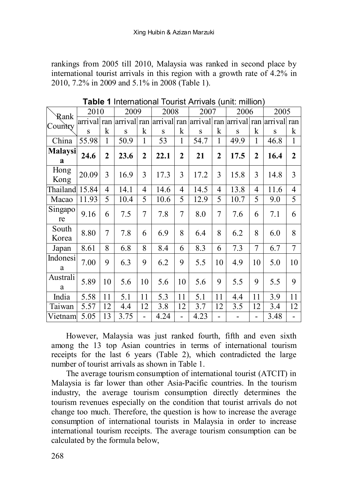rankings from 2005 till 2010, Malaysia was ranked in second place by international tourist arrivals in this region with a growth rate of 4.2% in 2010, 7.2% in 2009 and 5.1% in 2008 (Table 1).

| Rank           | 2010        |              | 2009                                        |              | 2008 |              | 2007 |              | 2006 |              | 2005            |              |
|----------------|-------------|--------------|---------------------------------------------|--------------|------|--------------|------|--------------|------|--------------|-----------------|--------------|
| Country        | arrival ran |              | arrival ran arrival ran arrival ran arrival |              |      |              |      |              |      |              | ran arrival ran |              |
|                | S           | k            | S                                           | k            | S    | k            | S    | k            | S    | k            | S               | k            |
| China          | 55.98       | 1            | 50.9                                        | 1            | 53   | $\mathbf{1}$ | 54.7 | 1            | 49.9 | 1            | 46.8            | $\mathbf{1}$ |
| Malaysi<br>a   | 24.6        | $\mathbf{2}$ | 23.6                                        | $\mathbf{2}$ | 22.1 | 2            | 21   | $\mathbf{2}$ | 17.5 | $\mathbf{2}$ | 16.4            | $\mathbf{2}$ |
| Hong<br>Kong   | 20.09       | 3            | 16.9                                        | 3            | 17.3 | 3            | 17.2 | 3            | 15.8 | 3            | 14.8            | 3            |
| Thailand       | 15.84       | 4            | 14.1                                        | 4            | 14.6 | 4            | 14.5 | 4            | 13.8 | 4            | 11.6            | 4            |
| Macao          | 11.93       | 5            | 10.4                                        | 5            | 10.6 | 5            | 12.9 | 5            | 10.7 | 5            | 9.0             | 5            |
| Singapo<br>re  | 9.16        | 6            | 7.5                                         | 7            | 7.8  | 7            | 8.0  | 7            | 7.6  | 6            | 7.1             | 6            |
| South<br>Korea | 8.80        | 7            | 7.8                                         | 6            | 6.9  | 8            | 6.4  | 8            | 6.2  | 8            | 6.0             | 8            |
| Japan          | 8.61        | 8            | 6.8                                         | 8            | 8.4  | 6            | 8.3  | 6            | 7.3  | 7            | 6.7             | 7            |
| Indonesi<br>a  | 7.00        | 9            | 6.3                                         | 9            | 6.2  | 9            | 5.5  | 10           | 4.9  | 10           | 5.0             | 10           |
| Australi<br>a  | 5.89        | 10           | 5.6                                         | 10           | 5.6  | 10           | 5.6  | 9            | 5.5  | 9            | 5.5             | 9            |
| India          | 5.58        | 11           | 5.1                                         | 11           | 5.3  | 11           | 5.1  | 11           | 4.4  | 11           | 3.9             | 11           |
| Taiwan         | 5.57        | 12           | 4.4                                         | 12           | 3.8  | 12           | 3.7  | 12           | 3.5  | 12           | 3.4             | 12           |
| Vietnam        | 5.05        | 13           | 3.75                                        |              | 4.24 |              | 4.23 |              |      |              | 3.48            |              |

**Table 1** International Tourist Arrivals (unit: million)

However, Malaysia was just ranked fourth, fifth and even sixth among the 13 top Asian countries in terms of international tourism receipts for the last 6 years (Table 2), which contradicted the large number of tourist arrivals as shown in Table 1.

The average tourism consumption of international tourist (ATCIT) in Malaysia is far lower than other Asia-Pacific countries. In the tourism industry, the average tourism consumption directly determines the tourism revenues especially on the condition that tourist arrivals do not change too much. Therefore, the question is how to increase the average consumption of international tourists in Malaysia in order to increase international tourism receipts. The average tourism consumption can be calculated by the formula below,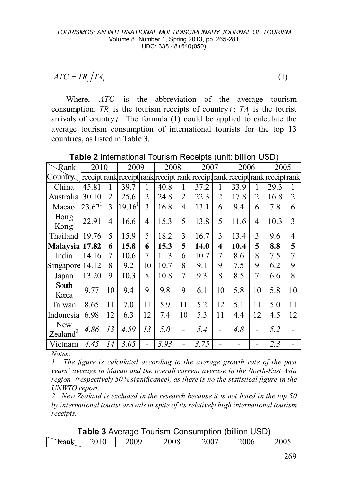$$
ATC = TR_i \Big/ TA_i \tag{1}
$$

Where, *ATC* is the abbreviation of the average tourism consumption; *TR* is the tourism receipts of country *i*; *TA* is the tourist arrivals of country  $i$ . The formula  $(1)$  could be applied to calculate the average tourism consumption of international tourists for the top 13 countries, as listed in Table 3.

| Rank                      | 2010      |    | 2009                                                                          |                | 2008 |                | 2007 |                         | 2006 |                | 2005 |    |
|---------------------------|-----------|----|-------------------------------------------------------------------------------|----------------|------|----------------|------|-------------------------|------|----------------|------|----|
| Country.                  |           |    | receipt rank receipt rank receipt rank receipt rank receipt rank receipt rank |                |      |                |      |                         |      |                |      |    |
| China                     | 45.81     | 1  | 39.7                                                                          | 1              | 40.8 | 1              | 37.2 | 1                       | 33.9 | 1              | 29.3 | 1  |
| Australia                 | 30.10     | 2  | 25.6                                                                          | $\overline{2}$ | 24.8 | $\overline{2}$ | 22.3 | $\overline{2}$          | 17.8 | $\overline{2}$ | 16.8 | 2  |
| Macao                     | $23.62^1$ | 3  | $19.16$ <sup>1</sup>                                                          | 3              | 16.8 | 4              | 13.1 | 6                       | 9.4  | 6              | 7.8  | 6  |
| Hong<br>Kong              | 22.91     | 4  | 16.6                                                                          | 4              | 15.3 | 5              | 13.8 | 5                       | 11.6 | 4              | 10.3 | 3  |
| Thailand                  | 19.76     | 5  | 15.9                                                                          | 5              | 18.2 | 3              | 16.7 | 3                       | 13.4 | 3              | 9.6  | 4  |
| Malaysia 17.82            |           | 6  | 15.8                                                                          | 6              | 15.3 | 5              | 14.0 | $\overline{\mathbf{4}}$ | 10.4 | 5              | 8.8  | 5  |
| India                     | 14.16     | 7  | 10.6                                                                          | 7              | 11.3 | 6              | 10.7 | 7                       | 8.6  | 8              | 7.5  | 7  |
| Singapore                 | 14.12     | 8  | 9.2                                                                           | 10             | 10.7 | 8              | 9.1  | 9                       | 7.5  | 9              | 6.2  | 9  |
| Japan                     | 13.20     | 9  | 10.3                                                                          | 8              | 10.8 | 7              | 9.3  | 8                       | 8.5  | 7              | 6.6  | 8  |
| South<br>Korea            | 9.77      | 10 | 9.4                                                                           | 9              | 9.8  | 9              | 6.1  | 10                      | 5.8  | 10             | 5.8  | 10 |
| Taiwan                    | 8.65      | 11 | 7.0                                                                           | 11             | 5.9  | 11             | 5.2  | 12                      | 5.1  | 11             | 5.0  | 11 |
| Indonesia                 | 6.98      | 12 | 6.3                                                                           | 12             | 7.4  | 10             | 5.3  | 11                      | 4.4  | 12             | 4.5  | 12 |
| <b>New</b><br>$Zealand^2$ | 4.86      | 13 | 4.59                                                                          | 13             | 5.0  | $\overline{a}$ | 5.4  |                         | 4.8  |                | 5.2  |    |
| Vietnam                   | 4.45      | 14 | 3.05                                                                          |                | 3.93 |                | 3.75 |                         |      |                | 2.3  |    |

**Table 2** International Tourism Receipts (unit: billion USD)

*Notes:* 

*1. The figure is calculated according to the average growth rate of the past years' average in Macao and the overall current average in the North-East Asia region (respectively 50% significance), as there is no the statistical figure in the UNWTO report.*

*2. New Zealand is excluded in the research because it is not listed in the top 50 by international tourist arrivals in spite of its relatively high international tourism receipts.* 

**Table 3** Average Tourism Consumption (billion USD)

| $\sim$<br>`Rank | 2010 | 2009 | 2008 | $200^{-}$ | 2006 | 2005 |
|-----------------|------|------|------|-----------|------|------|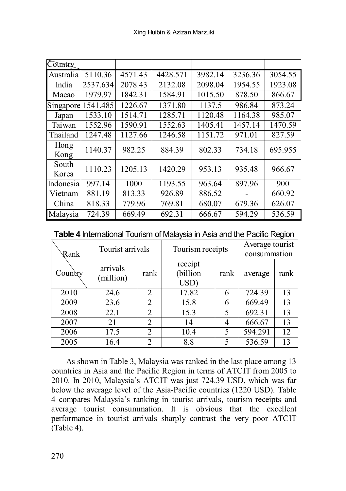| Country   |                        |         |          |         |         |         |
|-----------|------------------------|---------|----------|---------|---------|---------|
| Australia | 5110.36                | 4571.43 | 4428.571 | 3982.14 | 3236.36 | 3054.55 |
| India     | 2537.634               | 2078.43 | 2132.08  | 2098.04 | 1954.55 | 1923.08 |
| Macao     | 1979.97                | 1842.31 | 1584.91  | 1015.50 | 878.50  | 866.67  |
| Singapore | $\overline{1541}$ .485 | 1226.67 | 1371.80  | 1137.5  | 986.84  | 873.24  |
| Japan     | 1533.10                | 1514.71 | 1285.71  | 1120.48 | 1164.38 | 985.07  |
| Taiwan    | 1552.96                | 1590.91 | 1552.63  | 1405.41 | 1457.14 | 1470.59 |
| Thailand  | 1247.48                | 1127.66 | 1246.58  | 1151.72 | 971.01  | 827.59  |
| Hong      | 1140.37                | 982.25  | 884.39   | 802.33  | 734.18  | 695.955 |
| Kong      |                        |         |          |         |         |         |
| South     | 1110.23                | 1205.13 | 1420.29  | 953.13  | 935.48  | 966.67  |
| Korea     |                        |         |          |         |         |         |
| Indonesia | 997.14                 | 1000    | 1193.55  | 963.64  | 897.96  | 900     |
| Vietnam   | 881.19                 | 813.33  | 926.89   | 886.52  |         | 660.92  |
| China     | 818.33                 | 779.96  | 769.81   | 680.07  | 679.36  | 626.07  |
| Malaysia  | 724.39                 | 669.49  | 692.31   | 666.67  | 594.29  | 536.59  |

**Table 4** International Tourism of Malaysia in Asia and the Pacific Region

| Rank    | Tourist arrivals      |                | Tourism receipts            | Average tourist<br>consummation |         |      |
|---------|-----------------------|----------------|-----------------------------|---------------------------------|---------|------|
| Country | arrivals<br>(million) | rank           | receipt<br>(billion<br>USD) | rank                            | average | rank |
| 2010    | 24.6                  | 2              | 17.82                       |                                 | 724.39  | 13   |
| 2009    | 23.6                  | $\mathfrak{D}$ | 15.8                        | 6                               | 669.49  | 13   |
| 2008    | 22.1                  | 2              | 15.3                        | 5                               | 692.31  | 13   |
| 2007    | 21                    | $\mathfrak{D}$ | 14                          | 4                               | 666.67  | 13   |
| 2006    | 17.5                  | $\mathfrak{D}$ | 10.4                        |                                 | 594.291 | 12   |
| 2005    | 16.4                  | $\overline{c}$ | 8.8                         |                                 | 536.59  | 13   |

As shown in Table 3, Malaysia was ranked in the last place among 13 countries in Asia and the Pacific Region in terms of ATCIT from 2005 to 2010. In 2010, Malaysia's ATCIT was just 724.39 USD, which was far below the average level of the Asia-Pacific countries (1220 USD). Table 4 compares Malaysia's ranking in tourist arrivals, tourism receipts and average tourist consummation. It is obvious that the excellent performance in tourist arrivals sharply contrast the very poor ATCIT (Table 4).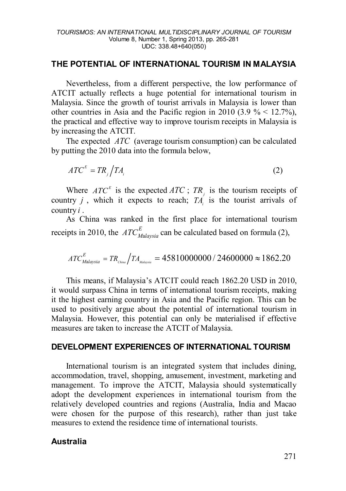### **THE POTENTIAL OF INTERNATIONAL TOURISM IN MALAYSIA**

Nevertheless, from a different perspective, the low performance of ATCIT actually reflects a huge potential for international tourism in Malaysia. Since the growth of tourist arrivals in Malaysia is lower than other countries in Asia and the Pacific region in 2010 (3.9  $\%$  < 12.7%). the practical and effective way to improve tourism receipts in Malaysia is by increasing the ATCIT.

The expected *ATC* (average tourism consumption) can be calculated by putting the 2010 data into the formula below,

$$
ATC^E = TR_j \Big/ TA_i \tag{2}
$$

Where  $ATC<sup>E</sup>$  is the expected  $ATC$ ;  $TR<sub>j</sub>$  is the tourism receipts of country *j*, which it expects to reach;  $T_A$  is the tourist arrivals of country *i* .

As China was ranked in the first place for international tourism receipts in 2010, the  $ATC_{Malaysia}^E$  can be calculated based on formula (2),

$$
ATC_{Malaysia}^E = TR_{\rm China} / TA_{\rm Malaysia} = 45810000000 / 24600000 \approx 1862.20
$$

This means, if Malaysia's ATCIT could reach 1862.20 USD in 2010, it would surpass China in terms of international tourism receipts, making it the highest earning country in Asia and the Pacific region. This can be used to positively argue about the potential of international tourism in Malaysia. However, this potential can only be materialised if effective measures are taken to increase the ATCIT of Malaysia.

#### **DEVELOPMENT EXPERIENCES OF INTERNATIONAL TOURISM**

International tourism is an integrated system that includes dining, accommodation, travel, shopping, amusement, investment, marketing and management. To improve the ATCIT, Malaysia should systematically adopt the development experiences in international tourism from the relatively developed countries and regions (Australia, India and Macao were chosen for the purpose of this research), rather than just take measures to extend the residence time of international tourists.

### **Australia**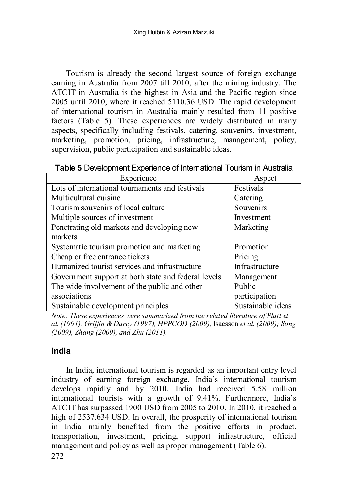Tourism is already the second largest source of foreign exchange earning in Australia from 2007 till 2010, after the mining industry. The ATCIT in Australia is the highest in Asia and the Pacific region since 2005 until 2010, where it reached 5110.36 USD. The rapid development of international tourism in Australia mainly resulted from 11 positive factors (Table 5). These experiences are widely distributed in many aspects, specifically including festivals, catering, souvenirs, investment, marketing, promotion, pricing, infrastructure, management, policy, supervision, public participation and sustainable ideas.

**Table 5** Development Experience of International Tourism in Australia

| Experience                                          | Aspect            |
|-----------------------------------------------------|-------------------|
| Lots of international tournaments and festivals     | Festivals         |
| Multicultural cuisine                               | Catering          |
| Tourism souvenirs of local culture                  | Souvenirs         |
| Multiple sources of investment                      | Investment        |
| Penetrating old markets and developing new          | Marketing         |
| markets                                             |                   |
| Systematic tourism promotion and marketing          | Promotion         |
| Cheap or free entrance tickets                      | Pricing           |
| Humanized tourist services and infrastructure       | Infrastructure    |
| Government support at both state and federal levels | Management        |
| The wide involvement of the public and other        | Public            |
| associations                                        | participation     |
| Sustainable development principles                  | Sustainable ideas |

*Note: These experiences were summarized from the related literature of Platt et al. (1991), Griffin & Darcy (1997), HPPCOD (2009),* Isacsson *et al. (2009); Song (2009), Zhang (2009), and Zhu (2011).*

### **India**

In India, international tourism is regarded as an important entry level industry of earning foreign exchange. India's international tourism develops rapidly and by 2010, India had received 5.58 million international tourists with a growth of 9.41%. Furthermore, India's ATCIT has surpassed 1900 USD from 2005 to 2010. In 2010, it reached a high of 2537.634 USD. In overall, the prosperity of international tourism in India mainly benefited from the positive efforts in product, transportation, investment, pricing, support infrastructure, official management and policy as well as proper management (Table 6).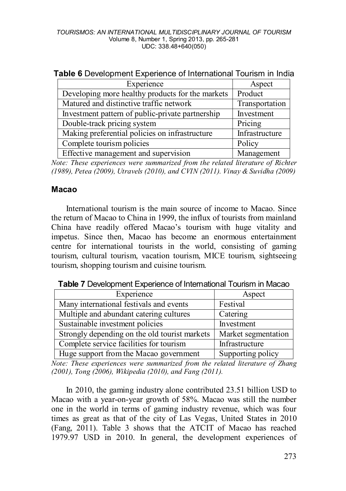| Experience                                       | Aspect         |
|--------------------------------------------------|----------------|
| Developing more healthy products for the markets | Product        |
| Matured and distinctive traffic network          | Transportation |
| Investment pattern of public-private partnership | Investment     |
| Double-track pricing system                      | Pricing        |
| Making preferential policies on infrastructure   | Infrastructure |
| Complete tourism policies                        | Policy         |
| Effective management and supervision             | Management     |

*Note: These experiences were summarized from the related literature of Richter (1989), Petea (2009), Utravels (2010), and CVIN (2011). Vinay & Suvidha (2009)* 

### **Macao**

International tourism is the main source of income to Macao. Since the return of Macao to China in 1999, the influx of tourists from mainland China have readily offered Macao's tourism with huge vitality and impetus. Since then, Macao has become an enormous entertainment centre for international tourists in the world, consisting of gaming tourism, cultural tourism, vacation tourism, MICE tourism, sightseeing tourism, shopping tourism and cuisine tourism.

**Table 7** Development Experience of International Tourism in Macao

| Experience                                    | Aspect              |
|-----------------------------------------------|---------------------|
| Many international festivals and events       | Festival            |
| Multiple and abundant catering cultures       | Catering            |
| Sustainable investment policies               | Investment          |
| Strongly depending on the old tourist markets | Market segmentation |
| Complete service facilities for tourism       | Infrastructure      |
| Huge support from the Macao government        | Supporting policy   |

*Note: These experiences were summarized from the related literature of Zhang (2001), Tong (2006), Wikipedia (2010), and Fang (2011).* 

In 2010, the gaming industry alone contributed 23.51 billion USD to Macao with a year-on-year growth of 58%. Macao was still the number one in the world in terms of gaming industry revenue, which was four times as great as that of the city of Las Vegas, United States in 2010 (Fang, 2011). Table 3 shows that the ATCIT of Macao has reached 1979.97 USD in 2010. In general, the development experiences of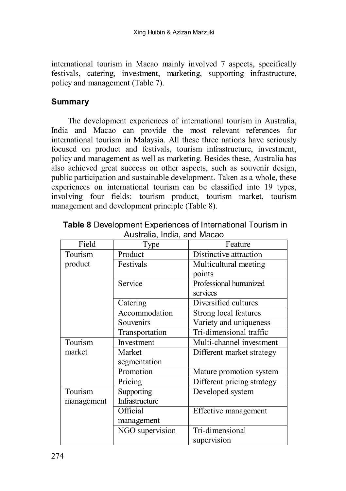international tourism in Macao mainly involved 7 aspects, specifically festivals, catering, investment, marketing, supporting infrastructure, policy and management (Table 7).

## **Summary**

The development experiences of international tourism in Australia, India and Macao can provide the most relevant references for international tourism in Malaysia. All these three nations have seriously focused on product and festivals, tourism infrastructure, investment, policy and management as well as marketing. Besides these, Australia has also achieved great success on other aspects, such as souvenir design, public participation and sustainable development. Taken as a whole, these experiences on international tourism can be classified into 19 types, involving four fields: tourism product, tourism market, tourism management and development principle (Table 8).

| Field      | wasuana, mala, ana macao<br>Type | Feature                    |
|------------|----------------------------------|----------------------------|
| Tourism    | Product                          | Distinctive attraction     |
| product    | Festivals                        | Multicultural meeting      |
|            |                                  | points                     |
|            | Service                          | Professional humanized     |
|            |                                  | services                   |
|            | Catering                         | Diversified cultures       |
|            | Accommodation                    | Strong local features      |
|            | Souvenirs                        | Variety and uniqueness     |
|            | Transportation                   | Tri-dimensional traffic    |
| Tourism    | Investment                       | Multi-channel investment   |
| market     | Market                           | Different market strategy  |
|            | segmentation                     |                            |
|            | Promotion                        | Mature promotion system    |
|            | Pricing                          | Different pricing strategy |
| Tourism    | Supporting                       | Developed system           |
| management | Infrastructure                   |                            |
|            | Official                         | Effective management       |
|            | management                       |                            |
|            | NGO supervision                  | Tri-dimensional            |
|            |                                  | supervision                |

**Table 8** Development Experiences of International Tourism in Australia, India, and Macao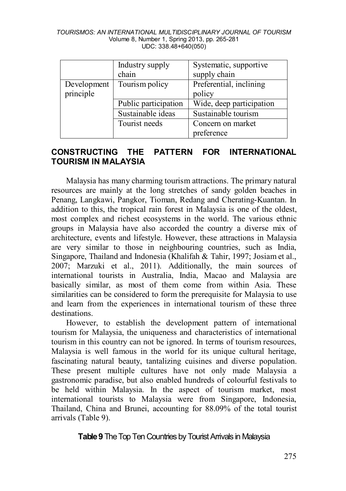| TOURISMOS: AN INTERNATIONAL MULTIDISCIPLINARY JOURNAL OF TOURISM |
|------------------------------------------------------------------|
| Volume 8, Number 1, Spring 2013, pp. 265-281                     |
| UDC: 338.48+640(050)                                             |

|             | Industry supply      | Systematic, supportive   |
|-------------|----------------------|--------------------------|
|             | chain                | supply chain             |
| Development | Tourism policy       | Preferential, inclining  |
| principle   |                      | policy                   |
|             | Public participation | Wide, deep participation |
|             | Sustainable ideas    | Sustainable tourism      |
|             | Tourist needs        | Concern on market        |
|             |                      | preference               |

### **CONSTRUCTING THE PATTERN FOR INTERNATIONAL TOURISM IN MALAYSIA**

Malaysia has many charming tourism attractions. The primary natural resources are mainly at the long stretches of sandy golden beaches in Penang, Langkawi, Pangkor, Tioman, Redang and Cherating-Kuantan. In addition to this, the tropical rain forest in Malaysia is one of the oldest, most complex and richest ecosystems in the world. The various ethnic groups in Malaysia have also accorded the country a diverse mix of architecture, events and lifestyle. However, these attractions in Malaysia are very similar to those in neighbouring countries, such as India, Singapore, Thailand and Indonesia (Khalifah & Tahir, 1997; Josiam et al., 2007; Marzuki et al., 2011). Additionally, the main sources of international tourists in Australia, India, Macao and Malaysia are basically similar, as most of them come from within Asia. These similarities can be considered to form the prerequisite for Malaysia to use and learn from the experiences in international tourism of these three destinations.

However, to establish the development pattern of international tourism for Malaysia, the uniqueness and characteristics of international tourism in this country can not be ignored. In terms of tourism resources, Malaysia is well famous in the world for its unique cultural heritage, fascinating natural beauty, tantalizing cuisines and diverse population. These present multiple cultures have not only made Malaysia a gastronomic paradise, but also enabled hundreds of colourful festivals to be held within Malaysia. In the aspect of tourism market, most international tourists to Malaysia were from Singapore, Indonesia, Thailand, China and Brunei, accounting for 88.09% of the total tourist arrivals (Table 9).

## **Table 9** The Top Ten Countries by Tourist Arrivals in Malaysia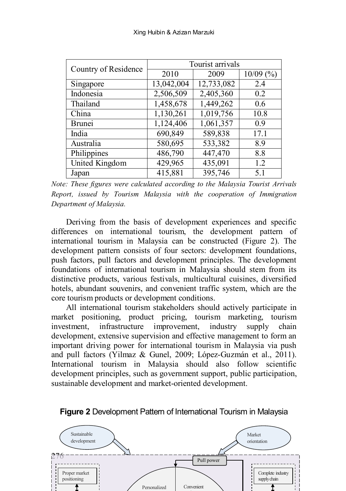| Country of Residence | Tourist arrivals |            |             |
|----------------------|------------------|------------|-------------|
|                      | 2010             | 2009       | $10/09$ (%) |
| Singapore            | 13,042,004       | 12,733,082 | 2.4         |
| Indonesia            | 2,506,509        | 2,405,360  | 0.2         |
| Thailand             | 1,458,678        | 1,449,262  | 0.6         |
| China                | 1,130,261        | 1,019,756  | 10.8        |
| <b>Brunei</b>        | 1,124,406        | 1,061,357  | 0.9         |
| India                | 690,849          | 589,838    | 17.1        |
| Australia            | 580,695          | 533,382    | 8.9         |
| Philippines          | 486,790          | 447,470    | 8.8         |
| United Kingdom       | 429,965          | 435,091    | 1.2         |
| Japan                | 415,881          | 395,746    | 5.1         |

*Note: These figures were calculated according to the Malaysia Tourist Arrivals Report, issued by Tourism Malaysia with the cooperation of Immigration Department of Malaysia.*

Deriving from the basis of development experiences and specific differences on international tourism, the development pattern of international tourism in Malaysia can be constructed (Figure 2). The development pattern consists of four sectors: development foundations, push factors, pull factors and development principles. The development foundations of international tourism in Malaysia should stem from its distinctive products, various festivals, multicultural cuisines, diversified hotels, abundant souvenirs, and convenient traffic system, which are the core tourism products or development conditions.

All international tourism stakeholders should actively participate in market positioning, product pricing, tourism marketing, tourism investment, infrastructure improvement, industry supply chain development, extensive supervision and effective management to form an important driving power for international tourism in Malaysia via push and pull factors (Yilmaz & Gunel, 2009; López-Guzmán et al., 2011). International tourism in Malaysia should also follow scientific development principles, such as government support, public participation, sustainable development and market-oriented development.



**Figure 2** Development Pattern of International Tourism in Malaysia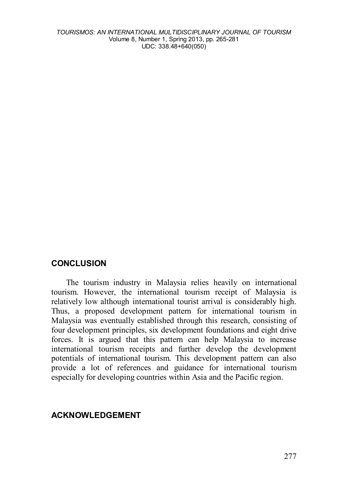*TOURISMOS: AN INTERNATIONAL MULTIDISCIPLINARY JOURNAL OF TOURISM* Volume 8, Number 1, Spring 2013, pp. 265-281 UDC: 338.48+640(050)

### **CONCLUSION**

The tourism industry in Malaysia relies heavily on international tourism. However, the international tourism receipt of Malaysia is relatively low although international tourist arrival is considerably high. Thus, a proposed development pattern for international tourism in Malaysia was eventually established through this research, consisting of four development principles, six development foundations and eight drive forces. It is argued that this pattern can help Malaysia to increase international tourism receipts and further develop the development potentials of international tourism. This development pattern can also provide a lot of references and guidance for international tourism especially for developing countries within Asia and the Pacific region.

#### **ACKNOWLEDGEMENT**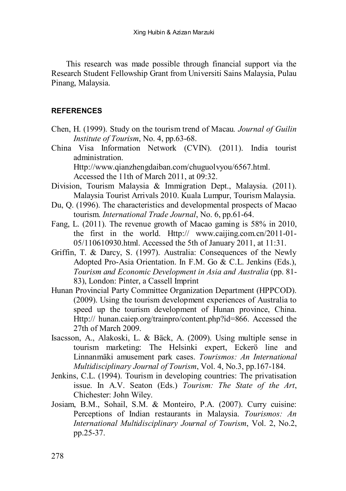This research was made possible through financial support via the Research Student Fellowship Grant from Universiti Sains Malaysia, Pulau Pinang, Malaysia.

#### **REFERENCES**

- Chen, H. (1999). Study on the tourism trend of Macau*. Journal of Guilin Institute of Tourism*, No. 4, pp.63-68.
- China Visa Information Network (CVIN). (2011). India tourist administration.

Http://www.qianzhengdaiban.com/chuguolvyou/6567.html. Accessed the 11th of March 2011, at 09:32.

- Division, Tourism Malaysia & Immigration Dept., Malaysia. (2011). Malaysia Tourist Arrivals 2010. Kuala Lumpur, Tourism Malaysia.
- Du, Q. (1996). The characteristics and developmental prospects of Macao tourism. *International Trade Journal*, No. 6, pp.61-64.
- Fang, L. (2011). The revenue growth of Macao gaming is 58% in 2010, the first in the world. Http:// www.caijing.com.cn/2011-01- 05/110610930.html. Accessed the 5th of January 2011, at 11:31.
- Griffin, T. & Darcy, S. (1997). Australia: Consequences of the Newly Adopted Pro-Asia Orientation. In F.M. Go & C.L. Jenkins (Eds.), *Tourism and Economic Development in Asia and Australia* (pp. 81- 83), London: Pinter, a Cassell Imprint
- Hunan Provincial Party Committee Organization Department (HPPCOD). (2009). Using the tourism development experiences of Australia to speed up the tourism development of Hunan province, China. Http:// hunan.caiep.org/trainpro/content.php?id=866. Accessed the 27th of March 2009.
- Isacsson, A., Alakoski, L. & Bäck, A. (2009). Using multiple sense in tourism marketing: The Helsinki expert, Eckerö line and Linnanmäki amusement park cases. *Tourismos: An International Multidisciplinary Journal of Tourism*, Vol. 4, No.3, pp.167-184.
- Jenkins, C.L. (1994). Tourism in developing countries: The privatisation issue. In A.V. Seaton (Eds.) *Tourism: The State of the Art*, Chichester: John Wiley.
- Josiam, B.M., Sohail, S.M. & Monteiro, P.A. (2007). Curry cuisine: Perceptions of Indian restaurants in Malaysia. *Tourismos: An International Multidisciplinary Journal of Tourism*, Vol. 2, No.2, pp.25-37.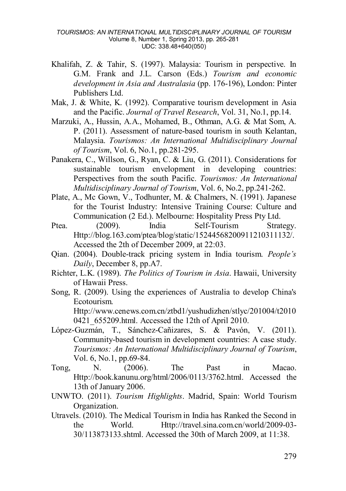- Khalifah, Z. & Tahir, S. (1997). Malaysia: Tourism in perspective. In G.M. Frank and J.L. Carson (Eds.) *Tourism and economic development in Asia and Australasia* (pp. 176-196), London: Pinter Publishers Ltd.
- Mak, J. & White, K. (1992). Comparative tourism development in Asia and the Pacific. *Journal of Travel Research*, Vol. 31, No.1, pp.14.
- Marzuki, A., Hussin, A.A., Mohamed, B., Othman, A.G. & Mat Som, A. P. (2011). Assessment of nature-based tourism in south Kelantan, Malaysia. *Tourismos: An International Multidisciplinary Journal of Tourism*, Vol. 6, No.1, pp.281-295.
- Panakera, C., Willson, G., Ryan, C. & Liu, G. (2011). Considerations for sustainable tourism envelopment in developing countries: Perspectives from the south Pacific. *Tourismos: An International Multidisciplinary Journal of Tourism*, Vol. 6, No.2, pp.241-262.
- Plate, A., Mc Gown, V., Todhunter, M. & Chalmers, N. (1991). Japanese for the Tourist Industry: Intensive Training Course: Culture and Communication (2 Ed.). Melbourne: Hospitality Press Pty Ltd.
- Ptea. (2009). India Self-Tourism Strategy. Http://blog.163.com/ptea/blog/static/15244568200911210311132/. Accessed the 2th of December 2009, at 22:03.
- Qian. (2004). Double-track pricing system in India tourism. *People's Daily*, December 8, pp.A7.
- Richter, L.K. (1989). *The Politics of Tourism in Asia*. Hawaii, University of Hawaii Press.
- Song, R. (2009). Using the experiences of Australia to develop China's Ecotourism. Http://www.cenews.com.cn/ztbd1/yushudizhen/stlyc/201004/t2010 0421 655209.html. Accessed the 12th of April 2010.
- López-Guzmán, T., Sánchez-Cañizares, S. & Pavón, V. (2011). Community-based tourism in development countries: A case study. *Tourismos: An International Multidisciplinary Journal of Tourism*, Vol. 6, No.1, pp.69-84.
- Tong, N. (2006). The Past in Macao. Http://book.kanunu.org/html/2006/0113/3762.html. Accessed the 13th of January 2006.
- UNWTO. (2011). *Tourism Highlights*. Madrid, Spain: World Tourism Organization.
- Utravels. (2010). The Medical Tourism in India has Ranked the Second in the World. Http://travel.sina.com.cn/world/2009-03- 30/113873133.shtml. Accessed the 30th of March 2009, at 11:38.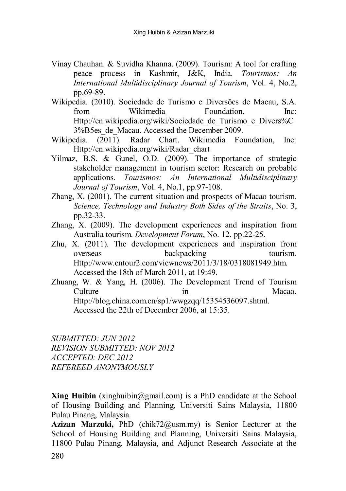- Vinay Chauhan. & Suvidha Khanna. (2009). Tourism: A tool for crafting peace process in Kashmir, J&K, India. *Tourismos: An International Multidisciplinary Journal of Tourism*, Vol. 4, No.2, pp.69-89.
- Wikipedia. (2010). Sociedade de Turismo e Diversões de Macau, S.A. from Wikimedia Foundation, Inc: Http://en.wikipedia.org/wiki/Sociedade de Turismo e Divers%C 3%B5es\_de\_Macau. Accessed the December 2009.
- Wikipedia. (2011). Radar Chart. Wikimedia Foundation, Inc: Http://en.wikipedia.org/wiki/Radar\_chart
- Yilmaz, B.S. & Gunel, O.D. (2009). The importance of strategic stakeholder management in tourism sector: Research on probable applications. *Tourismos: An International Multidisciplinary Journal of Tourism*, Vol. 4, No.1, pp.97-108.
- Zhang, X. (2001). The current situation and prospects of Macao tourism. *Science, Technology and Industry Both Sides of the Straits*, No. 3, pp.32-33.
- Zhang, X. (2009). The development experiences and inspiration from Australia tourism. *Development Forum*, No. 12, pp.22-25.
- Zhu, X. (2011). The development experiences and inspiration from overseas backpacking tourism. Http://www.cntour2.com/viewnews/2011/3/18/0318081949.htm. Accessed the 18th of March 2011, at 19:49.
- Zhuang, W. & Yang, H. (2006). The Development Trend of Tourism Culture in Macao. Http://blog.china.com.cn/sp1/wwgzqq/15354536097.shtml. Accessed the 22th of December 2006, at 15:35.

*SUBMITTED: JUN 2012 REVISION SUBMITTED: NOV 2012 ACCEPTED: DEC 2012 REFEREED ANONYMOUSLY*

**Xing Huibin** (xinghuibin@gmail.com) is a PhD candidate at the School of Housing Building and Planning, Universiti Sains Malaysia, 11800 Pulau Pinang, Malaysia.

**Azizan Marzuki,** PhD (chik72@usm.my) is Senior Lecturer at the School of Housing Building and Planning, Universiti Sains Malaysia, 11800 Pulau Pinang, Malaysia, and Adjunct Research Associate at the